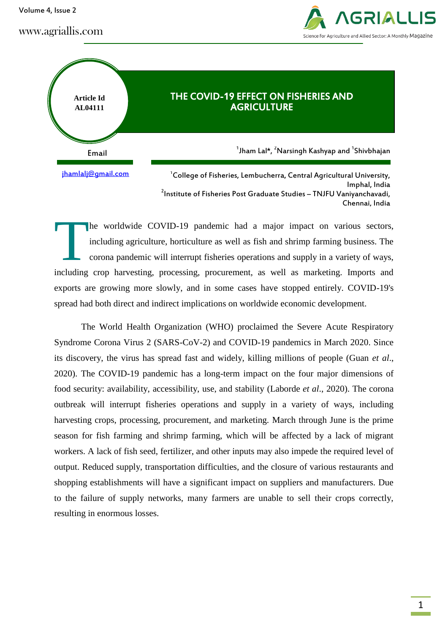Volume 4, Issue 2

www.agriallis.com





Imphal, India <sup>2</sup>Institute of Fisheries Post Graduate Studies – TNJFU Vaniyanchavadi, Chennai, India

he worldwide COVID-19 pandemic had a major impact on various sectors, including agriculture, horticulture as well as fish and shrimp farming business. The corona pandemic will interrupt fisheries operations and supply in a variety of ways, including crop harvesting, processing, procurement, as well as marketing. Imports and exports are growing more slowly, and in some cases have stopped entirely. COVID-19's spread had both direct and indirect implications on worldwide economic development. **T** 

The World Health Organization (WHO) proclaimed the Severe Acute Respiratory Syndrome Corona Virus 2 (SARS-CoV-2) and COVID-19 pandemics in March 2020. Since its discovery, the virus has spread fast and widely, killing millions of people (Guan *et al*., 2020). The COVID-19 pandemic has a long-term impact on the four major dimensions of food security: availability, accessibility, use, and stability (Laborde *et al*., 2020). The corona outbreak will interrupt fisheries operations and supply in a variety of ways, including harvesting crops, processing, procurement, and marketing. March through June is the prime season for fish farming and shrimp farming, which will be affected by a lack of migrant workers. A lack of fish seed, fertilizer, and other inputs may also impede the required level of output. Reduced supply, transportation difficulties, and the closure of various restaurants and shopping establishments will have a significant impact on suppliers and manufacturers. Due to the failure of supply networks, many farmers are unable to sell their crops correctly, resulting in enormous losses.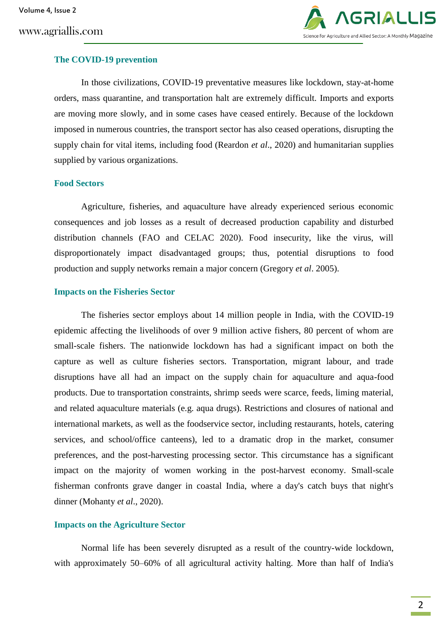

## **The COVID-19 prevention**

In those civilizations, COVID-19 preventative measures like lockdown, stay-at-home orders, mass quarantine, and transportation halt are extremely difficult. Imports and exports are moving more slowly, and in some cases have ceased entirely. Because of the lockdown imposed in numerous countries, the transport sector has also ceased operations, disrupting the supply chain for vital items, including food (Reardon *et al*., 2020) and humanitarian supplies supplied by various organizations.

## **Food Sectors**

Agriculture, fisheries, and aquaculture have already experienced serious economic consequences and job losses as a result of decreased production capability and disturbed distribution channels (FAO and CELAC 2020). Food insecurity, like the virus, will disproportionately impact disadvantaged groups; thus, potential disruptions to food production and supply networks remain a major concern (Gregory *et al*. 2005).

# **Impacts on the Fisheries Sector**

The fisheries sector employs about 14 million people in India, with the COVID-19 epidemic affecting the livelihoods of over 9 million active fishers, 80 percent of whom are small-scale fishers. The nationwide lockdown has had a significant impact on both the capture as well as culture fisheries sectors. Transportation, migrant labour, and trade disruptions have all had an impact on the supply chain for aquaculture and aqua-food products. Due to transportation constraints, shrimp seeds were scarce, feeds, liming material, and related aquaculture materials (e.g. aqua drugs). Restrictions and closures of national and international markets, as well as the foodservice sector, including restaurants, hotels, catering services, and school/office canteens), led to a dramatic drop in the market, consumer preferences, and the post-harvesting processing sector. This circumstance has a significant impact on the majority of women working in the post-harvest economy. Small-scale fisherman confronts grave danger in coastal India, where a day's catch buys that night's dinner (Mohanty *et al*., 2020).

# **Impacts on the Agriculture Sector**

Normal life has been severely disrupted as a result of the country-wide lockdown, with approximately 50–60% of all agricultural activity halting. More than half of India's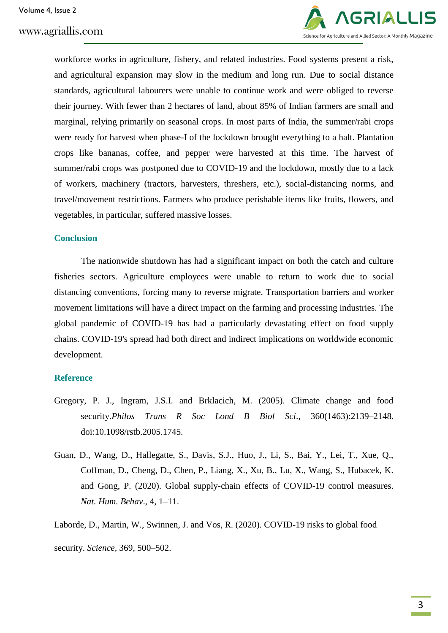

workforce works in agriculture, fishery, and related industries. Food systems present a risk, and agricultural expansion may slow in the medium and long run. Due to social distance standards, agricultural labourers were unable to continue work and were obliged to reverse their journey. With fewer than 2 hectares of land, about 85% of Indian farmers are small and marginal, relying primarily on seasonal crops. In most parts of India, the summer/rabi crops were ready for harvest when phase-I of the lockdown brought everything to a halt. Plantation crops like bananas, coffee, and pepper were harvested at this time. The harvest of summer/rabi crops was postponed due to COVID-19 and the lockdown, mostly due to a lack of workers, machinery (tractors, harvesters, threshers, etc.), social-distancing norms, and travel/movement restrictions. Farmers who produce perishable items like fruits, flowers, and vegetables, in particular, suffered massive losses.

# **Conclusion**

The nationwide shutdown has had a significant impact on both the catch and culture fisheries sectors. Agriculture employees were unable to return to work due to social distancing conventions, forcing many to reverse migrate. Transportation barriers and worker movement limitations will have a direct impact on the farming and processing industries. The global pandemic of COVID-19 has had a particularly devastating effect on food supply chains. COVID-19's spread had both direct and indirect implications on worldwide economic development.

## **Reference**

- Gregory, P. J., Ingram, J.S.I. and Brklacich, M. (2005). Climate change and food security.*Philos Trans R Soc Lond B Biol Sci*., 360(1463):2139–2148. doi:10.1098/rstb.2005.1745.
- Guan, D., Wang, D., Hallegatte, S., Davis, S.J., Huo, J., Li, S., Bai, Y., Lei, T., Xue, Q., Coffman, D., Cheng, D., Chen, P., Liang, X., Xu, B., Lu, X., Wang, S., Hubacek, K. and Gong, P. (2020). Global supply-chain effects of COVID-19 control measures. *Nat. Hum. Behav*., 4, 1–11.

Laborde, D., Martin, W., Swinnen, J. and Vos, R. (2020). COVID-19 risks to global food security. *Science,* 369, 500–502.